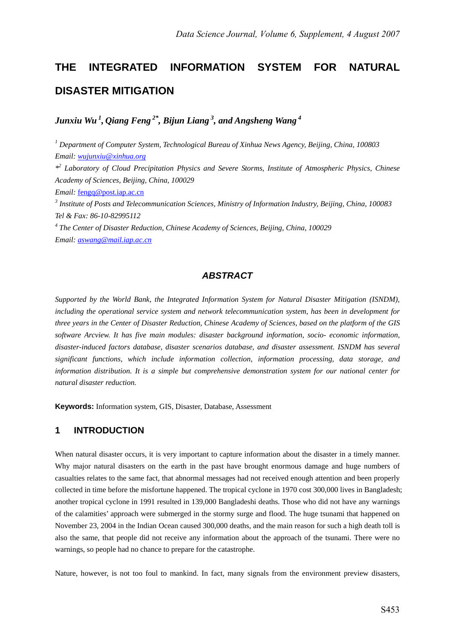# **THE INTEGRATED INFORMATION SYSTEM FOR NATURAL DISASTER MITIGATION**

*Junxiu Wu 1, Qiang Feng 2\*, Bijun Liang 3, and Angsheng Wang 4*

*1 Department of Computer System, Technological Bureau of Xinhua News Agency, Beijing, China, 100803 Email: wujunxiu@xinhua.org*

*\*2 Laboratory of Cloud Precipitation Physics and Severe Storms, Institute of Atmospheric Physics, Chinese Academy of Sciences, Beijing, China, 100029* 

*Email:* fengq@post.iap.ac.cn

*3 Institute of Posts and Telecommunication Sciences, Ministry of Information Industry, Beijing, China, 100083 Tel & Fax: 86-10-82995112* 

*4 The Center of Disaster Reduction, Chinese Academy of Sciences, Beijing, China, 100029 Email: aswang@mail.iap.ac.cn*

# *ABSTRACT*

*Supported by the World Bank, the Integrated Information System for Natural Disaster Mitigation (ISNDM), including the operational service system and network telecommunication system, has been in development for three years in the Center of Disaster Reduction, Chinese Academy of Sciences, based on the platform of the GIS software Arcview. It has five main modules: disaster background information, socio- economic information, disaster-induced factors database, disaster scenarios database, and disaster assessment. ISNDM has several significant functions, which include information collection, information processing, data storage, and information distribution. It is a simple but comprehensive demonstration system for our national center for natural disaster reduction.* 

**Keywords:** Information system, GIS, Disaster, Database, Assessment

# **1 INTRODUCTION**

When natural disaster occurs, it is very important to capture information about the disaster in a timely manner. Why major natural disasters on the earth in the past have brought enormous damage and huge numbers of casualties relates to the same fact, that abnormal messages had not received enough attention and been properly collected in time before the misfortune happened. The tropical cyclone in 1970 cost 300,000 lives in Bangladesh; another tropical cyclone in 1991 resulted in 139,000 Bangladeshi deaths. Those who did not have any warnings of the calamities' approach were submerged in the stormy surge and flood. The huge tsunami that happened on November 23, 2004 in the Indian Ocean caused 300,000 deaths, and the main reason for such a high death toll is also the same, that people did not receive any information about the approach of the tsunami. There were no warnings, so people had no chance to prepare for the catastrophe.

Nature, however, is not too foul to mankind. In fact, many signals from the environment preview disasters,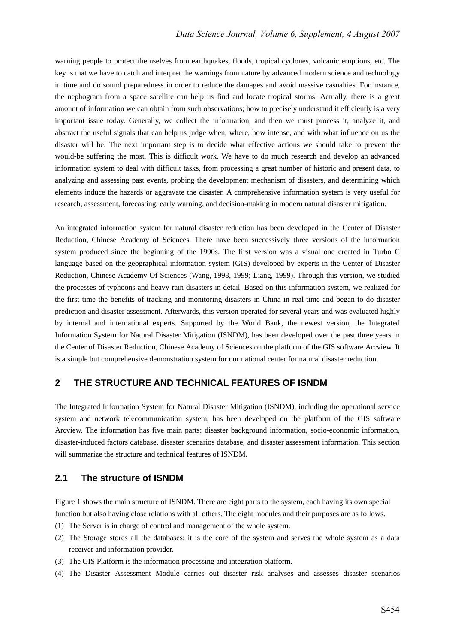warning people to protect themselves from earthquakes, floods, tropical cyclones, volcanic eruptions, etc. The key is that we have to catch and interpret the warnings from nature by advanced modern science and technology in time and do sound preparedness in order to reduce the damages and avoid massive casualties. For instance, the nephogram from a space satellite can help us find and locate tropical storms. Actually, there is a great amount of information we can obtain from such observations; how to precisely understand it efficiently is a very important issue today. Generally, we collect the information, and then we must process it, analyze it, and abstract the useful signals that can help us judge when, where, how intense, and with what influence on us the disaster will be. The next important step is to decide what effective actions we should take to prevent the would-be suffering the most. This is difficult work. We have to do much research and develop an advanced information system to deal with difficult tasks, from processing a great number of historic and present data, to analyzing and assessing past events, probing the development mechanism of disasters, and determining which elements induce the hazards or aggravate the disaster. A comprehensive information system is very useful for research, assessment, forecasting, early warning, and decision-making in modern natural disaster mitigation.

An integrated information system for natural disaster reduction has been developed in the Center of Disaster Reduction, Chinese Academy of Sciences. There have been successively three versions of the information system produced since the beginning of the 1990s. The first version was a visual one created in Turbo C language based on the geographical information system (GIS) developed by experts in the Center of Disaster Reduction, Chinese Academy Of Sciences (Wang, 1998, 1999; Liang, 1999). Through this version, we studied the processes of typhoons and heavy-rain disasters in detail. Based on this information system, we realized for the first time the benefits of tracking and monitoring disasters in China in real-time and began to do disaster prediction and disaster assessment. Afterwards, this version operated for several years and was evaluated highly by internal and international experts. Supported by the World Bank, the newest version, the Integrated Information System for Natural Disaster Mitigation (ISNDM), has been developed over the past three years in the Center of Disaster Reduction, Chinese Academy of Sciences on the platform of the GIS software Arcview. It is a simple but comprehensive demonstration system for our national center for natural disaster reduction.

## **2 THE STRUCTURE AND TECHNICAL FEATURES OF ISNDM**

The Integrated Information System for Natural Disaster Mitigation (ISNDM), including the operational service system and network telecommunication system, has been developed on the platform of the GIS software Arcview. The information has five main parts: disaster background information, socio-economic information, disaster-induced factors database, disaster scenarios database, and disaster assessment information. This section will summarize the structure and technical features of ISNDM.

#### **2.1 The structure of ISNDM**

Figure 1 shows the main structure of ISNDM. There are eight parts to the system, each having its own special function but also having close relations with all others. The eight modules and their purposes are as follows.

- (1) The Server is in charge of control and management of the whole system.
- (2) The Storage stores all the databases; it is the core of the system and serves the whole system as a data receiver and information provider.
- (3) The GIS Platform is the information processing and integration platform.
- (4) The Disaster Assessment Module carries out disaster risk analyses and assesses disaster scenarios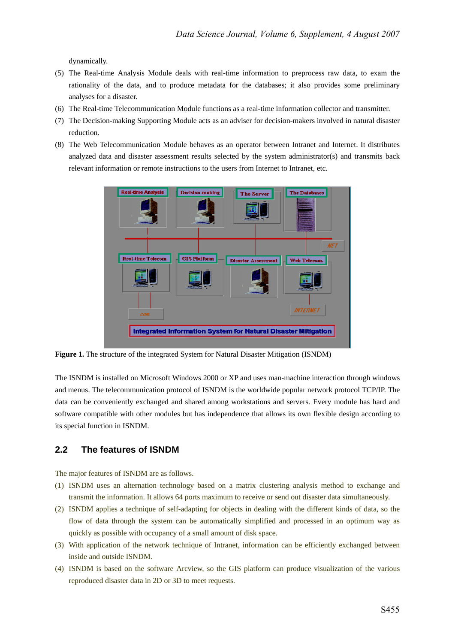dynamically.

- (5) The Real-time Analysis Module deals with real-time information to preprocess raw data, to exam the rationality of the data, and to produce metadata for the databases; it also provides some preliminary analyses for a disaster.
- (6) The Real-time Telecommunication Module functions as a real-time information collector and transmitter.
- (7) The Decision-making Supporting Module acts as an adviser for decision-makers involved in natural disaster reduction.
- (8) The Web Telecommunication Module behaves as an operator between Intranet and Internet. It distributes analyzed data and disaster assessment results selected by the system administrator(s) and transmits back relevant information or remote instructions to the users from Internet to Intranet, etc.



**Figure 1.** The structure of the integrated System for Natural Disaster Mitigation (ISNDM)

The ISNDM is installed on Microsoft Windows 2000 or XP and uses man-machine interaction through windows and menus. The telecommunication protocol of ISNDM is the worldwide popular network protocol TCP/IP. The data can be conveniently exchanged and shared among workstations and servers. Every module has hard and software compatible with other modules but has independence that allows its own flexible design according to its special function in ISNDM.

# **2.2 The features of ISNDM**

The major features of ISNDM are as follows.

- (1) ISNDM uses an alternation technology based on a matrix clustering analysis method to exchange and transmit the information. It allows 64 ports maximum to receive or send out disaster data simultaneously.
- (2) ISNDM applies a technique of self-adapting for objects in dealing with the different kinds of data, so the flow of data through the system can be automatically simplified and processed in an optimum way as quickly as possible with occupancy of a small amount of disk space.
- (3) With application of the network technique of Intranet, information can be efficiently exchanged between inside and outside ISNDM.
- (4) ISNDM is based on the software Arcview, so the GIS platform can produce visualization of the various reproduced disaster data in 2D or 3D to meet requests.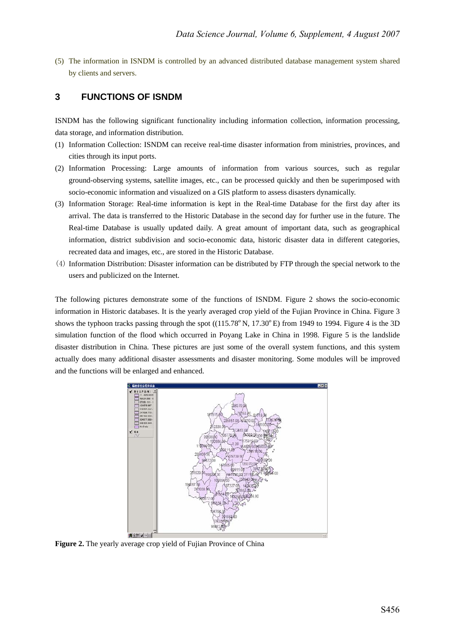(5) The information in ISNDM is controlled by an advanced distributed database management system shared by clients and servers.

# **3 FUNCTIONS OF ISNDM**

ISNDM has the following significant functionality including information collection, information processing, data storage, and information distribution.

- (1) Information Collection: ISNDM can receive real-time disaster information from ministries, provinces, and cities through its input ports.
- (2) Information Processing: Large amounts of information from various sources, such as regular ground-observing systems, satellite images, etc., can be processed quickly and then be superimposed with socio-economic information and visualized on a GIS platform to assess disasters dynamically.
- (3) Information Storage: Real-time information is kept in the Real-time Database for the first day after its arrival. The data is transferred to the Historic Database in the second day for further use in the future. The Real-time Database is usually updated daily. A great amount of important data, such as geographical information, district subdivision and socio-economic data, historic disaster data in different categories, recreated data and images, etc., are stored in the Historic Database.
- (4) Information Distribution: Disaster information can be distributed by FTP through the special network to the users and publicized on the Internet.

The following pictures demonstrate some of the functions of ISNDM. Figure 2 shows the socio-economic information in Historic databases. It is the yearly averaged crop yield of the Fujian Province in China. Figure 3 shows the typhoon tracks passing through the spot  $((115.78°N, 17.30°E)$  from 1949 to 1994. Figure 4 is the 3D simulation function of the flood which occurred in Poyang Lake in China in 1998. Figure 5 is the landslide disaster distribution in China. These pictures are just some of the overall system functions, and this system actually does many additional disaster assessments and disaster monitoring. Some modules will be improved and the functions will be enlarged and enhanced.



**Figure 2.** The yearly average crop yield of Fujian Province of China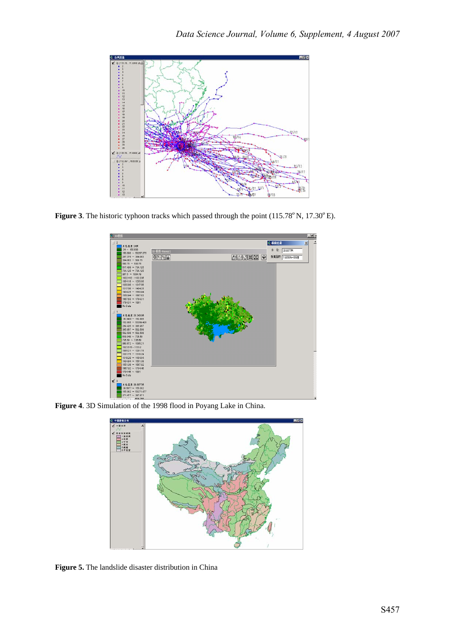

Figure 3. The historic typhoon tracks which passed through the point (115.78°N, 17.30°E).



**Figure 4**. 3D Simulation of the 1998 flood in Poyang Lake in China.



**Figure 5.** The landslide disaster distribution in China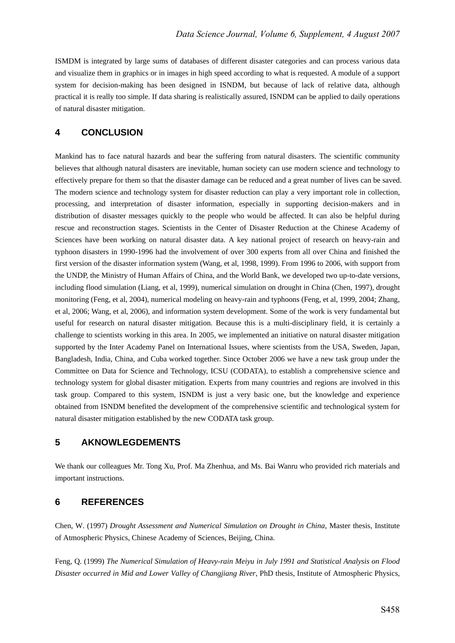ISMDM is integrated by large sums of databases of different disaster categories and can process various data and visualize them in graphics or in images in high speed according to what is requested. A module of a support system for decision-making has been designed in ISNDM, but because of lack of relative data, although practical it is really too simple. If data sharing is realistically assured, ISNDM can be applied to daily operations of natural disaster mitigation.

## **4 CONCLUSION**

Mankind has to face natural hazards and bear the suffering from natural disasters. The scientific community believes that although natural disasters are inevitable, human society can use modern science and technology to effectively prepare for them so that the disaster damage can be reduced and a great number of lives can be saved. The modern science and technology system for disaster reduction can play a very important role in collection, processing, and interpretation of disaster information, especially in supporting decision-makers and in distribution of disaster messages quickly to the people who would be affected. It can also be helpful during rescue and reconstruction stages. Scientists in the Center of Disaster Reduction at the Chinese Academy of Sciences have been working on natural disaster data. A key national project of research on heavy-rain and typhoon disasters in 1990-1996 had the involvement of over 300 experts from all over China and finished the first version of the disaster information system (Wang, et al, 1998, 1999). From 1996 to 2006, with support from the UNDP, the Ministry of Human Affairs of China, and the World Bank, we developed two up-to-date versions, including flood simulation (Liang, et al, 1999), numerical simulation on drought in China (Chen, 1997), drought monitoring (Feng, et al, 2004), numerical modeling on heavy-rain and typhoons (Feng, et al, 1999, 2004; Zhang, et al, 2006; Wang, et al, 2006), and information system development. Some of the work is very fundamental but useful for research on natural disaster mitigation. Because this is a multi-disciplinary field, it is certainly a challenge to scientists working in this area. In 2005, we implemented an initiative on natural disaster mitigation supported by the Inter Academy Panel on International Issues, where scientists from the USA, Sweden, Japan, Bangladesh, India, China, and Cuba worked together. Since October 2006 we have a new task group under the Committee on Data for Science and Technology, ICSU (CODATA), to establish a comprehensive science and technology system for global disaster mitigation. Experts from many countries and regions are involved in this task group. Compared to this system, ISNDM is just a very basic one, but the knowledge and experience obtained from ISNDM benefited the development of the comprehensive scientific and technological system for natural disaster mitigation established by the new CODATA task group.

# **5 AKNOWLEGDEMENTS**

We thank our colleagues Mr. Tong Xu, Prof. Ma Zhenhua, and Ms. Bai Wanru who provided rich materials and important instructions.

#### **6 REFERENCES**

Chen, W. (1997) *Drought Assessment and Numerical Simulation on Drought in China*, Master thesis, Institute of Atmospheric Physics, Chinese Academy of Sciences, Beijing, China.

Feng, Q. (1999) *The Numerical Simulation of Heavy-rain Meiyu in July 1991 and Statistical Analysis on Flood Disaster occurred in Mid and Lower Valley of Changjiang River*, PhD thesis, Institute of Atmospheric Physics,